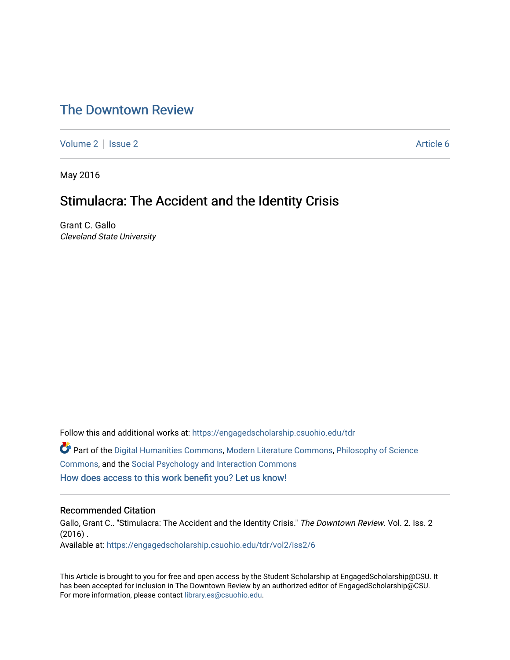# [The Downtown Review](https://engagedscholarship.csuohio.edu/tdr)

[Volume 2](https://engagedscholarship.csuohio.edu/tdr/vol2) | [Issue 2](https://engagedscholarship.csuohio.edu/tdr/vol2/iss2) Article 6

May 2016

# Stimulacra: The Accident and the Identity Crisis

Grant C. Gallo Cleveland State University

Follow this and additional works at: [https://engagedscholarship.csuohio.edu/tdr](https://engagedscholarship.csuohio.edu/tdr?utm_source=engagedscholarship.csuohio.edu%2Ftdr%2Fvol2%2Fiss2%2F6&utm_medium=PDF&utm_campaign=PDFCoverPages)  Part of the [Digital Humanities Commons](http://network.bepress.com/hgg/discipline/1286?utm_source=engagedscholarship.csuohio.edu%2Ftdr%2Fvol2%2Fiss2%2F6&utm_medium=PDF&utm_campaign=PDFCoverPages), [Modern Literature Commons,](http://network.bepress.com/hgg/discipline/1050?utm_source=engagedscholarship.csuohio.edu%2Ftdr%2Fvol2%2Fiss2%2F6&utm_medium=PDF&utm_campaign=PDFCoverPages) [Philosophy of Science](http://network.bepress.com/hgg/discipline/536?utm_source=engagedscholarship.csuohio.edu%2Ftdr%2Fvol2%2Fiss2%2F6&utm_medium=PDF&utm_campaign=PDFCoverPages) [Commons](http://network.bepress.com/hgg/discipline/536?utm_source=engagedscholarship.csuohio.edu%2Ftdr%2Fvol2%2Fiss2%2F6&utm_medium=PDF&utm_campaign=PDFCoverPages), and the [Social Psychology and Interaction Commons](http://network.bepress.com/hgg/discipline/430?utm_source=engagedscholarship.csuohio.edu%2Ftdr%2Fvol2%2Fiss2%2F6&utm_medium=PDF&utm_campaign=PDFCoverPages)  [How does access to this work benefit you? Let us know!](http://library.csuohio.edu/engaged/)

#### Recommended Citation

Gallo, Grant C.. "Stimulacra: The Accident and the Identity Crisis." The Downtown Review. Vol. 2. Iss. 2  $(2016)$ . Available at: [https://engagedscholarship.csuohio.edu/tdr/vol2/iss2/6](https://engagedscholarship.csuohio.edu/tdr/vol2/iss2/6?utm_source=engagedscholarship.csuohio.edu%2Ftdr%2Fvol2%2Fiss2%2F6&utm_medium=PDF&utm_campaign=PDFCoverPages) 

This Article is brought to you for free and open access by the Student Scholarship at EngagedScholarship@CSU. It has been accepted for inclusion in The Downtown Review by an authorized editor of EngagedScholarship@CSU. For more information, please contact [library.es@csuohio.edu.](mailto:library.es@csuohio.edu)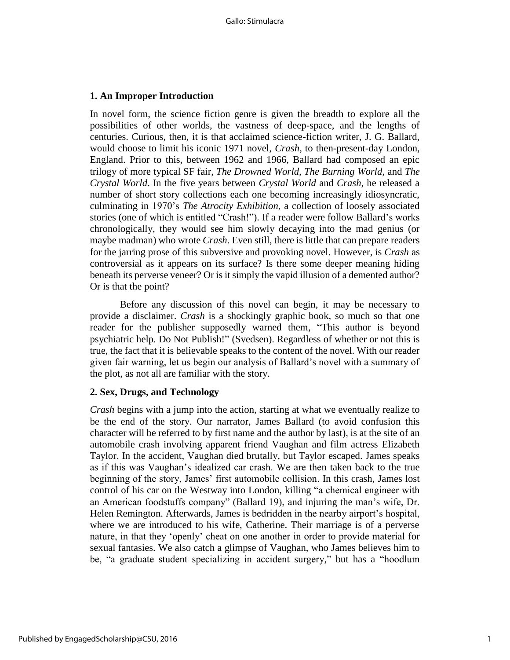# **1. An Improper Introduction**

In novel form, the science fiction genre is given the breadth to explore all the possibilities of other worlds, the vastness of deep-space, and the lengths of centuries. Curious, then, it is that acclaimed science-fiction writer, J. G. Ballard, would choose to limit his iconic 1971 novel, *Crash*, to then-present-day London, England. Prior to this, between 1962 and 1966, Ballard had composed an epic trilogy of more typical SF fair, *The Drowned World, The Burning World,* and *The Crystal World*. In the five years between *Crystal World* and *Crash*, he released a number of short story collections each one becoming increasingly idiosyncratic, culminating in 1970's *The Atrocity Exhibition*, a collection of loosely associated stories (one of which is entitled "Crash!"). If a reader were follow Ballard's works chronologically, they would see him slowly decaying into the mad genius (or maybe madman) who wrote *Crash*. Even still, there is little that can prepare readers for the jarring prose of this subversive and provoking novel. However, is *Crash* as controversial as it appears on its surface? Is there some deeper meaning hiding beneath its perverse veneer? Or is it simply the vapid illusion of a demented author? Or is that the point?

Before any discussion of this novel can begin, it may be necessary to provide a disclaimer. *Crash* is a shockingly graphic book, so much so that one reader for the publisher supposedly warned them, "This author is beyond psychiatric help. Do Not Publish!" (Svedsen). Regardless of whether or not this is true, the fact that it is believable speaks to the content of the novel. With our reader given fair warning, let us begin our analysis of Ballard's novel with a summary of the plot, as not all are familiar with the story.

# **2. Sex, Drugs, and Technology**

*Crash* begins with a jump into the action, starting at what we eventually realize to be the end of the story. Our narrator, James Ballard (to avoid confusion this character will be referred to by first name and the author by last), is at the site of an automobile crash involving apparent friend Vaughan and film actress Elizabeth Taylor. In the accident, Vaughan died brutally, but Taylor escaped. James speaks as if this was Vaughan's idealized car crash. We are then taken back to the true beginning of the story, James' first automobile collision. In this crash, James lost control of his car on the Westway into London, killing "a chemical engineer with an American foodstuffs company" (Ballard 19), and injuring the man's wife, Dr. Helen Remington. Afterwards, James is bedridden in the nearby airport's hospital, where we are introduced to his wife, Catherine. Their marriage is of a perverse nature, in that they 'openly' cheat on one another in order to provide material for sexual fantasies. We also catch a glimpse of Vaughan, who James believes him to be, "a graduate student specializing in accident surgery," but has a "hoodlum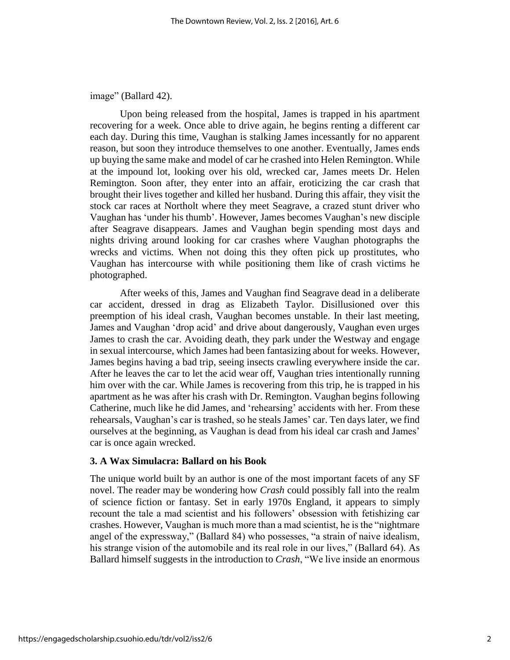image" (Ballard 42).

Upon being released from the hospital, James is trapped in his apartment recovering for a week. Once able to drive again, he begins renting a different car each day. During this time, Vaughan is stalking James incessantly for no apparent reason, but soon they introduce themselves to one another. Eventually, James ends up buying the same make and model of car he crashed into Helen Remington. While at the impound lot, looking over his old, wrecked car, James meets Dr. Helen Remington. Soon after, they enter into an affair, eroticizing the car crash that brought their lives together and killed her husband. During this affair, they visit the stock car races at Northolt where they meet Seagrave, a crazed stunt driver who Vaughan has 'under his thumb'. However, James becomes Vaughan's new disciple after Seagrave disappears. James and Vaughan begin spending most days and nights driving around looking for car crashes where Vaughan photographs the wrecks and victims. When not doing this they often pick up prostitutes, who Vaughan has intercourse with while positioning them like of crash victims he photographed.

After weeks of this, James and Vaughan find Seagrave dead in a deliberate car accident, dressed in drag as Elizabeth Taylor. Disillusioned over this preemption of his ideal crash, Vaughan becomes unstable. In their last meeting, James and Vaughan 'drop acid' and drive about dangerously, Vaughan even urges James to crash the car. Avoiding death, they park under the Westway and engage in sexual intercourse, which James had been fantasizing about for weeks. However, James begins having a bad trip, seeing insects crawling everywhere inside the car. After he leaves the car to let the acid wear off, Vaughan tries intentionally running him over with the car. While James is recovering from this trip, he is trapped in his apartment as he was after his crash with Dr. Remington. Vaughan begins following Catherine, much like he did James, and 'rehearsing' accidents with her. From these rehearsals, Vaughan's car is trashed, so he steals James' car. Ten days later, we find ourselves at the beginning, as Vaughan is dead from his ideal car crash and James' car is once again wrecked.

### **3. A Wax Simulacra: Ballard on his Book**

The unique world built by an author is one of the most important facets of any SF novel. The reader may be wondering how *Crash* could possibly fall into the realm of science fiction or fantasy. Set in early 1970s England, it appears to simply recount the tale a mad scientist and his followers' obsession with fetishizing car crashes. However, Vaughan is much more than a mad scientist, he is the "nightmare angel of the expressway," (Ballard 84) who possesses, "a strain of naive idealism, his strange vision of the automobile and its real role in our lives," (Ballard 64). As Ballard himself suggests in the introduction to *Crash*, "We live inside an enormous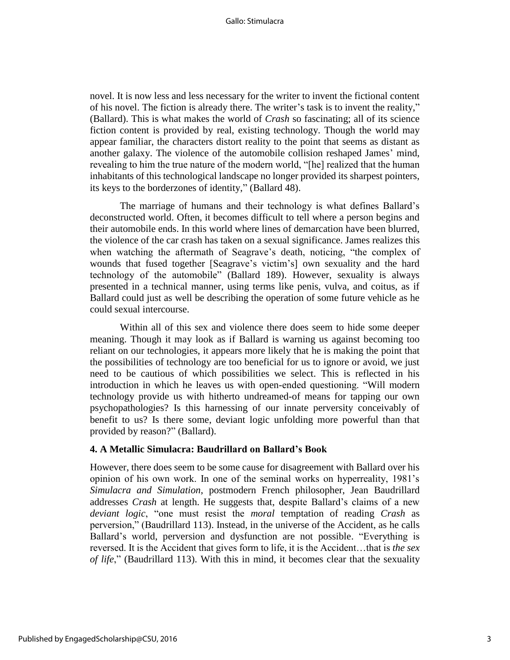novel. It is now less and less necessary for the writer to invent the fictional content of his novel. The fiction is already there. The writer's task is to invent the reality," (Ballard). This is what makes the world of *Crash* so fascinating; all of its science fiction content is provided by real, existing technology. Though the world may appear familiar, the characters distort reality to the point that seems as distant as another galaxy. The violence of the automobile collision reshaped James' mind, revealing to him the true nature of the modern world, "[he] realized that the human inhabitants of this technological landscape no longer provided its sharpest pointers, its keys to the borderzones of identity," (Ballard 48).

The marriage of humans and their technology is what defines Ballard's deconstructed world. Often, it becomes difficult to tell where a person begins and their automobile ends. In this world where lines of demarcation have been blurred, the violence of the car crash has taken on a sexual significance. James realizes this when watching the aftermath of Seagrave's death, noticing, "the complex of wounds that fused together [Seagrave's victim's] own sexuality and the hard technology of the automobile" (Ballard 189). However, sexuality is always presented in a technical manner, using terms like penis, vulva, and coitus, as if Ballard could just as well be describing the operation of some future vehicle as he could sexual intercourse.

Within all of this sex and violence there does seem to hide some deeper meaning. Though it may look as if Ballard is warning us against becoming too reliant on our technologies, it appears more likely that he is making the point that the possibilities of technology are too beneficial for us to ignore or avoid, we just need to be cautious of which possibilities we select. This is reflected in his introduction in which he leaves us with open-ended questioning. "Will modern technology provide us with hitherto undreamed-of means for tapping our own psychopathologies? Is this harnessing of our innate perversity conceivably of benefit to us? Is there some, deviant logic unfolding more powerful than that provided by reason?" (Ballard).

### **4. A Metallic Simulacra: Baudrillard on Ballard's Book**

However, there does seem to be some cause for disagreement with Ballard over his opinion of his own work. In one of the seminal works on hyperreality, 1981's *Simulacra and Simulation*, postmodern French philosopher, Jean Baudrillard addresses *Crash* at length. He suggests that, despite Ballard's claims of a new *deviant logic*, "one must resist the *moral* temptation of reading *Crash* as perversion," (Baudrillard 113). Instead, in the universe of the Accident, as he calls Ballard's world, perversion and dysfunction are not possible. "Everything is reversed. It is the Accident that gives form to life, it is the Accident…that is *the sex of life*," (Baudrillard 113). With this in mind, it becomes clear that the sexuality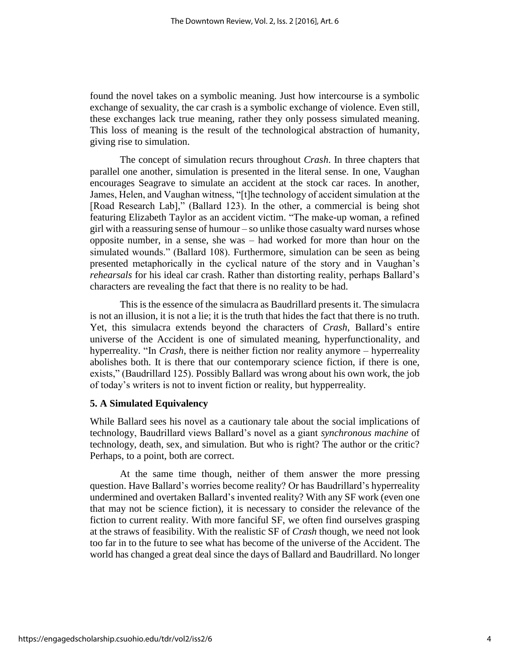found the novel takes on a symbolic meaning. Just how intercourse is a symbolic exchange of sexuality, the car crash is a symbolic exchange of violence. Even still, these exchanges lack true meaning, rather they only possess simulated meaning. This loss of meaning is the result of the technological abstraction of humanity, giving rise to simulation.

The concept of simulation recurs throughout *Crash*. In three chapters that parallel one another, simulation is presented in the literal sense. In one, Vaughan encourages Seagrave to simulate an accident at the stock car races. In another, James, Helen, and Vaughan witness, "[t]he technology of accident simulation at the [Road Research Lab]," (Ballard 123). In the other, a commercial is being shot featuring Elizabeth Taylor as an accident victim. "The make-up woman, a refined girl with a reassuring sense of humour – so unlike those casualty ward nurses whose opposite number, in a sense, she was – had worked for more than hour on the simulated wounds." (Ballard 108). Furthermore, simulation can be seen as being presented metaphorically in the cyclical nature of the story and in Vaughan's *rehearsals* for his ideal car crash. Rather than distorting reality, perhaps Ballard's characters are revealing the fact that there is no reality to be had.

This is the essence of the simulacra as Baudrillard presents it. The simulacra is not an illusion, it is not a lie; it is the truth that hides the fact that there is no truth. Yet, this simulacra extends beyond the characters of *Crash*, Ballard's entire universe of the Accident is one of simulated meaning, hyperfunctionality, and hyperreality. "In *Crash*, there is neither fiction nor reality anymore – hyperreality abolishes both. It is there that our contemporary science fiction, if there is one, exists," (Baudrillard 125). Possibly Ballard was wrong about his own work, the job of today's writers is not to invent fiction or reality, but hypperreality.

## **5. A Simulated Equivalency**

While Ballard sees his novel as a cautionary tale about the social implications of technology, Baudrillard views Ballard's novel as a giant *synchronous machine* of technology, death, sex, and simulation. But who is right? The author or the critic? Perhaps, to a point, both are correct.

At the same time though, neither of them answer the more pressing question. Have Ballard's worries become reality? Or has Baudrillard's hyperreality undermined and overtaken Ballard's invented reality? With any SF work (even one that may not be science fiction), it is necessary to consider the relevance of the fiction to current reality. With more fanciful SF, we often find ourselves grasping at the straws of feasibility. With the realistic SF of *Crash* though, we need not look too far in to the future to see what has become of the universe of the Accident. The world has changed a great deal since the days of Ballard and Baudrillard. No longer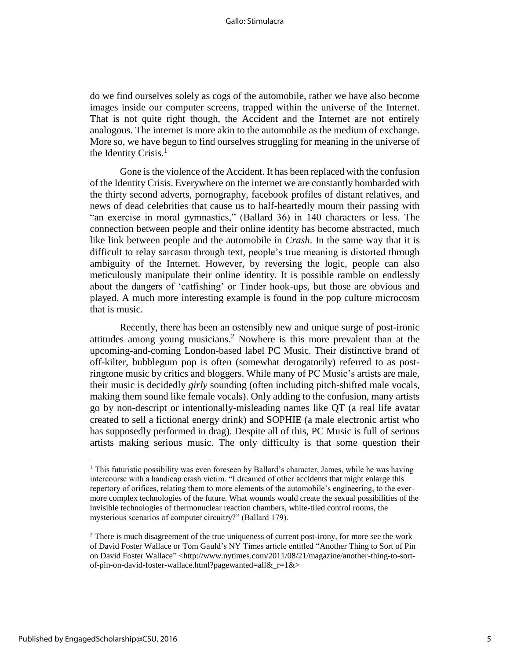do we find ourselves solely as cogs of the automobile, rather we have also become images inside our computer screens, trapped within the universe of the Internet. That is not quite right though, the Accident and the Internet are not entirely analogous. The internet is more akin to the automobile as the medium of exchange. More so, we have begun to find ourselves struggling for meaning in the universe of the Identity Crisis. $<sup>1</sup>$ </sup>

Gone is the violence of the Accident. It has been replaced with the confusion of the Identity Crisis. Everywhere on the internet we are constantly bombarded with the thirty second adverts, pornography, facebook profiles of distant relatives, and news of dead celebrities that cause us to half-heartedly mourn their passing with "an exercise in moral gymnastics," (Ballard 36) in 140 characters or less. The connection between people and their online identity has become abstracted, much like link between people and the automobile in *Crash*. In the same way that it is difficult to relay sarcasm through text, people's true meaning is distorted through ambiguity of the Internet. However, by reversing the logic, people can also meticulously manipulate their online identity. It is possible ramble on endlessly about the dangers of 'catfishing' or Tinder hook-ups, but those are obvious and played. A much more interesting example is found in the pop culture microcosm that is music.

Recently, there has been an ostensibly new and unique surge of post-ironic attitudes among young musicians.<sup>2</sup> Nowhere is this more prevalent than at the upcoming-and-coming London-based label PC Music. Their distinctive brand of off-kilter, bubblegum pop is often (somewhat derogatorily) referred to as postringtone music by critics and bloggers. While many of PC Music's artists are male, their music is decidedly *girly* sounding (often including pitch-shifted male vocals, making them sound like female vocals). Only adding to the confusion, many artists go by non-descript or intentionally-misleading names like QT (a real life avatar created to sell a fictional energy drink) and SOPHIE (a male electronic artist who has supposedly performed in drag). Despite all of this, PC Music is full of serious artists making serious music. The only difficulty is that some question their

 $\overline{\phantom{a}}$ 

 $<sup>1</sup>$  This futuristic possibility was even foreseen by Ballard's character, James, while he was having</sup> intercourse with a handicap crash victim. "I dreamed of other accidents that might enlarge this repertory of orifices, relating them to more elements of the automobile's engineering, to the evermore complex technologies of the future. What wounds would create the sexual possibilities of the invisible technologies of thermonuclear reaction chambers, white-tiled control rooms, the mysterious scenarios of computer circuitry?" (Ballard 179).

 $2<sup>2</sup>$  There is much disagreement of the true uniqueness of current post-irony, for more see the work of David Foster Wallace or Tom Gauld's NY Times article entitled "Another Thing to Sort of Pin on David Foster Wallace" <http://www.nytimes.com/2011/08/21/magazine/another-thing-to-sortof-pin-on-david-foster-wallace.html?pagewanted=all&\_r=1&>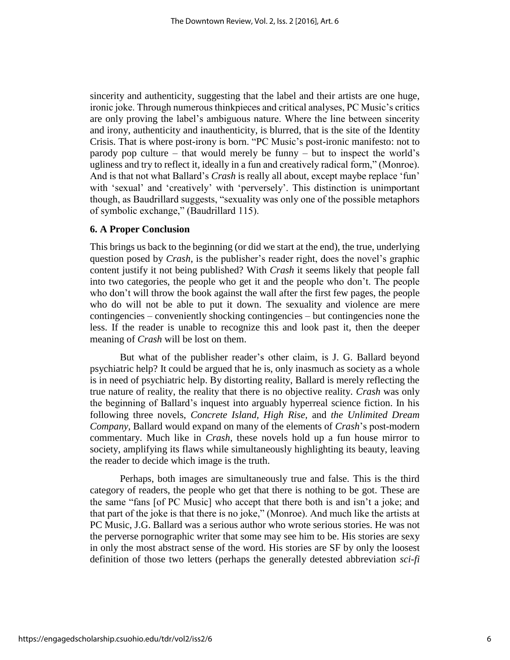sincerity and authenticity, suggesting that the label and their artists are one huge, ironic joke. Through numerous thinkpieces and critical analyses, PC Music's critics are only proving the label's ambiguous nature. Where the line between sincerity and irony, authenticity and inauthenticity, is blurred, that is the site of the Identity Crisis. That is where post-irony is born. "PC Music's post-ironic manifesto: not to parody pop culture – that would merely be funny – but to inspect the world's ugliness and try to reflect it, ideally in a fun and creatively radical form," (Monroe). And is that not what Ballard's *Crash* is really all about, except maybe replace 'fun' with 'sexual' and 'creatively' with 'perversely'. This distinction is unimportant though, as Baudrillard suggests, "sexuality was only one of the possible metaphors of symbolic exchange," (Baudrillard 115).

# **6. A Proper Conclusion**

This brings us back to the beginning (or did we start at the end), the true, underlying question posed by *Crash*, is the publisher's reader right, does the novel's graphic content justify it not being published? With *Crash* it seems likely that people fall into two categories, the people who get it and the people who don't. The people who don't will throw the book against the wall after the first few pages, the people who do will not be able to put it down. The sexuality and violence are mere contingencies – conveniently shocking contingencies – but contingencies none the less. If the reader is unable to recognize this and look past it, then the deeper meaning of *Crash* will be lost on them.

But what of the publisher reader's other claim, is J. G. Ballard beyond psychiatric help? It could be argued that he is, only inasmuch as society as a whole is in need of psychiatric help. By distorting reality, Ballard is merely reflecting the true nature of reality, the reality that there is no objective reality. *Crash* was only the beginning of Ballard's inquest into arguably hyperreal science fiction. In his following three novels, *Concrete Island, High Rise,* and *the Unlimited Dream Company*, Ballard would expand on many of the elements of *Crash*'s post-modern commentary. Much like in *Crash*, these novels hold up a fun house mirror to society, amplifying its flaws while simultaneously highlighting its beauty, leaving the reader to decide which image is the truth.

Perhaps, both images are simultaneously true and false. This is the third category of readers, the people who get that there is nothing to be got. These are the same "fans [of PC Music] who accept that there both is and isn't a joke; and that part of the joke is that there is no joke," (Monroe). And much like the artists at PC Music, J.G. Ballard was a serious author who wrote serious stories. He was not the perverse pornographic writer that some may see him to be. His stories are sexy in only the most abstract sense of the word. His stories are SF by only the loosest definition of those two letters (perhaps the generally detested abbreviation *sci-fi*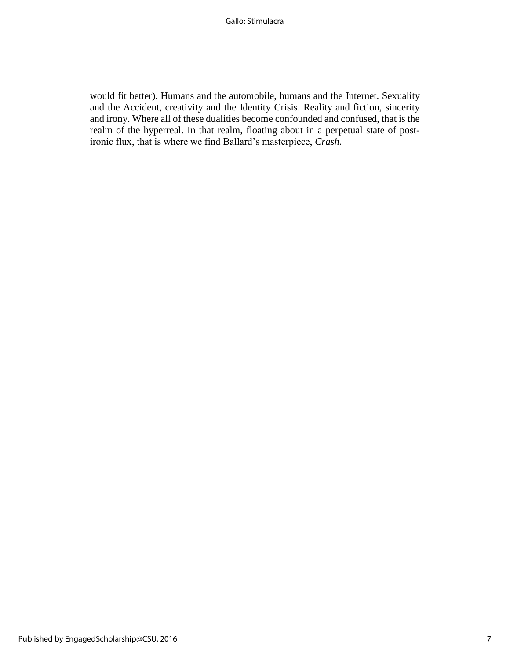would fit better). Humans and the automobile, humans and the Internet. Sexuality and the Accident, creativity and the Identity Crisis. Reality and fiction, sincerity and irony. Where all of these dualities become confounded and confused, that is the realm of the hyperreal. In that realm, floating about in a perpetual state of postironic flux, that is where we find Ballard's masterpiece, *Crash*.